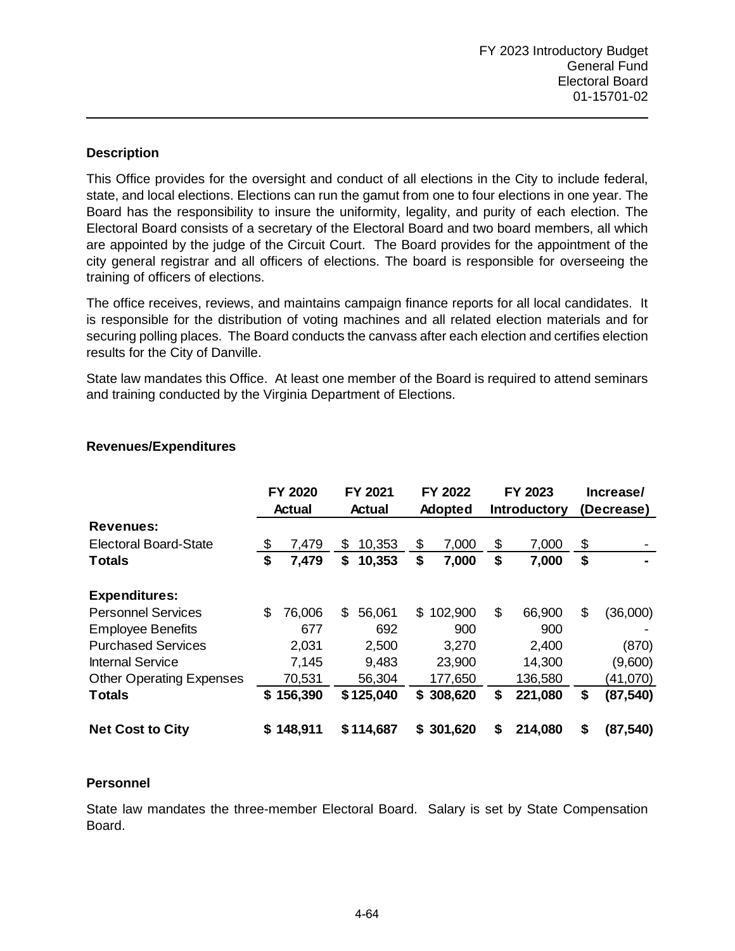This Office provides for the oversight and conduct of all elections in the City to include federal, state, and local elections. Elections can run the gamut from one to four elections in one year. The Board has the responsibility to insure the uniformity, legality, and purity of each election. The Electoral Board consists of a secretary of the Electoral Board and two board members, all which are appointed by the judge of the Circuit Court. The Board provides for the appointment of the city general registrar and all officers of elections. The board is responsible for overseeing the training of officers of elections.

The office receives, reviews, and maintains campaign finance reports for all local candidates. It is responsible for the distribution of voting machines and all related election materials and for securing polling places. The Board conducts the canvass after each election and certifies election results for the City of Danville.

State law mandates this Office. At least one member of the Board is required to attend seminars and training conducted by the Virginia Department of Elections.

|                                 |    | FY 2020<br><b>Actual</b> | FY 2021<br><b>Actual</b> |     | FY 2022<br><b>Adopted</b> | FY 2023<br><b>Introductory</b> |         | Increase/<br>(Decrease) |
|---------------------------------|----|--------------------------|--------------------------|-----|---------------------------|--------------------------------|---------|-------------------------|
| <b>Revenues:</b>                |    |                          |                          |     |                           |                                |         |                         |
| <b>Electoral Board-State</b>    | \$ | 7,479                    | \$<br>10,353             | \$  | 7,000                     | \$                             | 7,000   | \$<br>$\blacksquare$    |
| <b>Totals</b>                   | \$ | 7,479                    | \$<br>10,353             | \$  | 7,000                     | \$                             | 7,000   | \$<br>۰                 |
| <b>Expenditures:</b>            |    |                          |                          |     |                           |                                |         |                         |
| <b>Personnel Services</b>       | \$ | 76,006                   | \$<br>56,061             | \$. | 102,900                   | \$                             | 66,900  | \$<br>(36,000)          |
| <b>Employee Benefits</b>        |    | 677                      | 692                      |     | 900                       |                                | 900     |                         |
| <b>Purchased Services</b>       |    | 2,031                    | 2,500                    |     | 3,270                     |                                | 2,400   | (870)                   |
| <b>Internal Service</b>         |    | 7,145                    | 9,483                    |     | 23,900                    |                                | 14,300  | (9,600)                 |
| <b>Other Operating Expenses</b> |    | 70,531                   | 56,304                   |     | 177,650                   |                                | 136,580 | (41,070)                |
| <b>Totals</b>                   | S. | 156,390                  | \$125,040                |     | \$308,620                 | \$                             | 221,080 | \$<br>(87, 540)         |
| <b>Net Cost to City</b>         | S. | 148,911                  | \$114,687                | S   | 301,620                   | \$                             | 214,080 | \$<br>(87, 540)         |

## **Revenues/Expenditures**

## **Personnel**

State law mandates the three-member Electoral Board. Salary is set by State Compensation Board.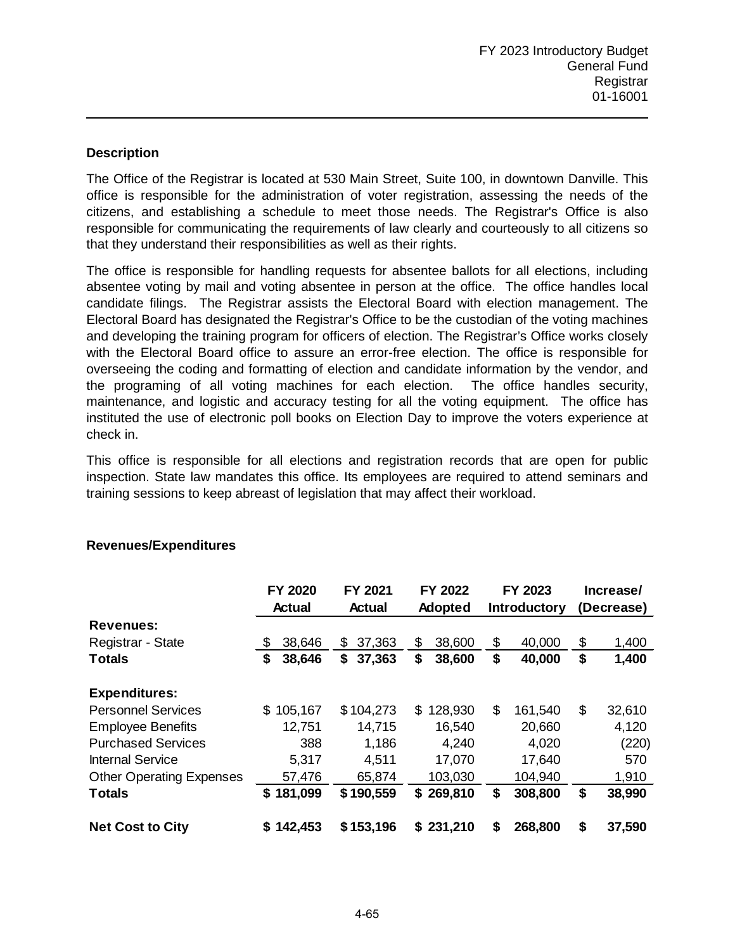The Office of the Registrar is located at 530 Main Street, Suite 100, in downtown Danville. This office is responsible for the administration of voter registration, assessing the needs of the citizens, and establishing a schedule to meet those needs. The Registrar's Office is also responsible for communicating the requirements of law clearly and courteously to all citizens so that they understand their responsibilities as well as their rights.

The office is responsible for handling requests for absentee ballots for all elections, including absentee voting by mail and voting absentee in person at the office. The office handles local candidate filings. The Registrar assists the Electoral Board with election management. The Electoral Board has designated the Registrar's Office to be the custodian of the voting machines and developing the training program for officers of election. The Registrar's Office works closely with the Electoral Board office to assure an error-free election. The office is responsible for overseeing the coding and formatting of election and candidate information by the vendor, and the programing of all voting machines for each election. The office handles security, maintenance, and logistic and accuracy testing for all the voting equipment. The office has instituted the use of electronic poll books on Election Day to improve the voters experience at check in.

This office is responsible for all elections and registration records that are open for public inspection. State law mandates this office. Its employees are required to attend seminars and training sessions to keep abreast of legislation that may affect their workload.

|                                 | FY 2020        | FY 2021       | FY 2022        | FY 2023             |    | Increase/  |
|---------------------------------|----------------|---------------|----------------|---------------------|----|------------|
|                                 | <b>Actual</b>  | <b>Actual</b> | <b>Adopted</b> | <b>Introductory</b> |    | (Decrease) |
| <b>Revenues:</b>                |                |               |                |                     |    |            |
| Registrar - State               | 38,646<br>\$   | 37,363<br>S   | \$<br>38,600   | \$<br>40,000        | \$ | 1,400      |
| <b>Totals</b>                   | \$<br>38,646   | 37,363<br>\$  | \$<br>38,600   | \$<br>40,000        | \$ | 1,400      |
| <b>Expenditures:</b>            |                |               |                |                     |    |            |
| <b>Personnel Services</b>       | 105,167<br>\$. | \$104,273     | 128,930<br>\$  | \$<br>161,540       | \$ | 32,610     |
| <b>Employee Benefits</b>        | 12,751         | 14,715        | 16,540         | 20,660              |    | 4,120      |
| <b>Purchased Services</b>       | 388            | 1,186         | 4,240          | 4,020               |    | (220)      |
| <b>Internal Service</b>         | 5,317          | 4,511         | 17,070         | 17,640              |    | 570        |
| <b>Other Operating Expenses</b> | 57,476         | 65,874        | 103,030        | 104,940             |    | 1,910      |
| <b>Totals</b>                   | 181,099<br>S   | \$190,559     | 269,810<br>S.  | \$<br>308,800       | \$ | 38,990     |
| <b>Net Cost to City</b>         | 142,453<br>S   | \$153,196     | 231,210<br>S.  | \$<br>268,800       | \$ | 37,590     |

## **Revenues/Expenditures**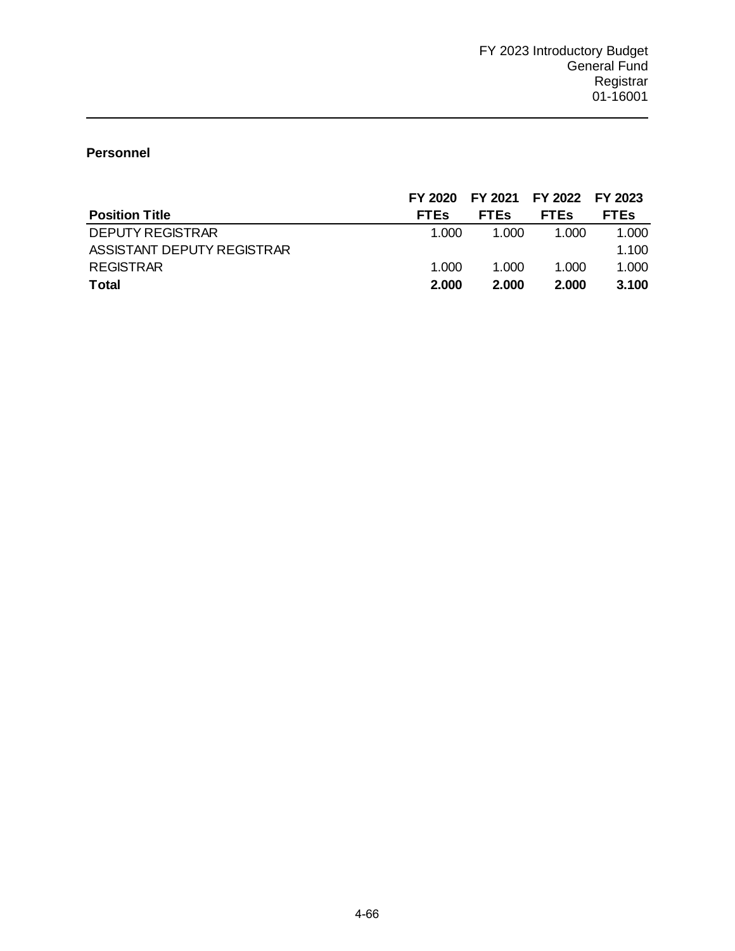# **Personnel**

|                            | FY 2020     | FY 2021 FY 2022 FY 2023 |             |             |
|----------------------------|-------------|-------------------------|-------------|-------------|
| <b>Position Title</b>      | <b>FTES</b> | <b>FTES</b>             | <b>FTEs</b> | <b>FTEs</b> |
| <b>DEPUTY REGISTRAR</b>    | 1.000       | 1.000                   | 1.000       | 1.000       |
| ASSISTANT DEPUTY REGISTRAR |             |                         |             | 1.100       |
| REGISTRAR                  | 1.000       | 1.000                   | 1.000       | 1.000       |
| <b>Total</b>               | 2.000       | 2.000                   | 2.000       | 3.100       |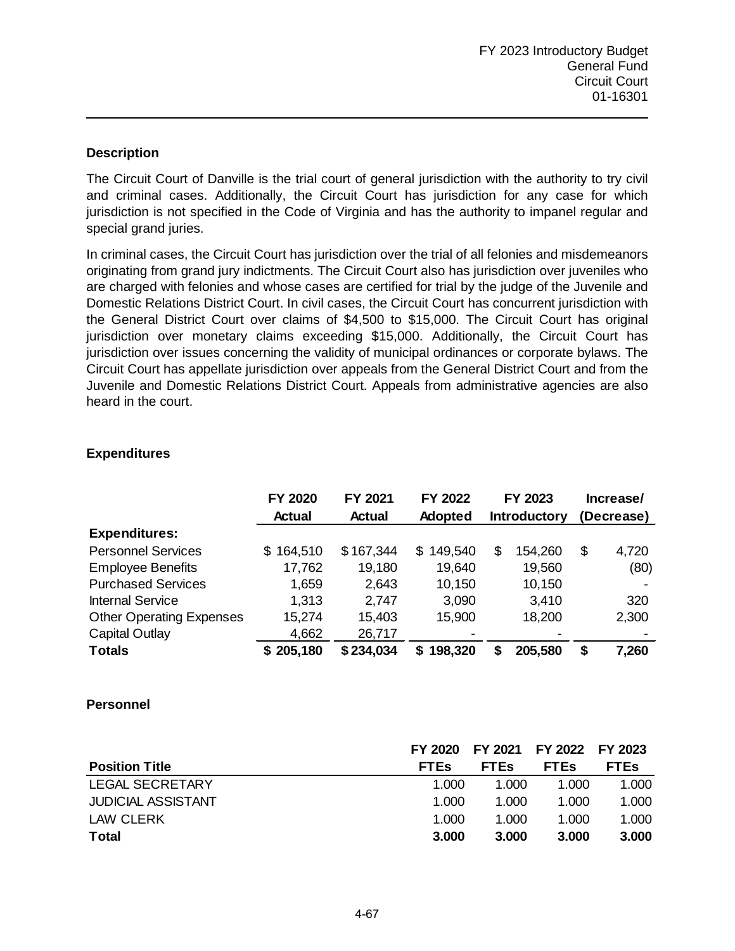The Circuit Court of Danville is the trial court of general jurisdiction with the authority to try civil and criminal cases. Additionally, the Circuit Court has jurisdiction for any case for which jurisdiction is not specified in the Code of Virginia and has the authority to impanel regular and special grand juries.

In criminal cases, the Circuit Court has jurisdiction over the trial of all felonies and misdemeanors originating from grand jury indictments. The Circuit Court also has jurisdiction over juveniles who are charged with felonies and whose cases are certified for trial by the judge of the Juvenile and Domestic Relations District Court. In civil cases, the Circuit Court has concurrent jurisdiction with the General District Court over claims of \$4,500 to \$15,000. The Circuit Court has original jurisdiction over monetary claims exceeding \$15,000. Additionally, the Circuit Court has jurisdiction over issues concerning the validity of municipal ordinances or corporate bylaws. The Circuit Court has appellate jurisdiction over appeals from the General District Court and from the Juvenile and Domestic Relations District Court. Appeals from administrative agencies are also heard in the court.

|                                 | <b>FY 2020</b><br><b>Actual</b> | FY 2021<br><b>Actual</b> | FY 2022<br><b>Adopted</b> | FY 2023<br><b>Introductory</b> |                          | Increase/<br>(Decrease) |
|---------------------------------|---------------------------------|--------------------------|---------------------------|--------------------------------|--------------------------|-------------------------|
| <b>Expenditures:</b>            |                                 |                          |                           |                                |                          |                         |
| <b>Personnel Services</b>       | \$164,510                       | \$167,344                | 149,540<br>\$.            | \$                             | 154,260                  | \$<br>4,720             |
| <b>Employee Benefits</b>        | 17,762                          | 19,180                   | 19,640                    |                                | 19,560                   | (80)                    |
| <b>Purchased Services</b>       | 1,659                           | 2,643                    | 10,150                    |                                | 10,150                   |                         |
| <b>Internal Service</b>         | 1,313                           | 2,747                    | 3,090                     |                                | 3,410                    | 320                     |
| <b>Other Operating Expenses</b> | 15,274                          | 15,403                   | 15,900                    |                                | 18,200                   | 2,300                   |
| Capital Outlay                  | 4,662                           | 26,717                   |                           |                                | $\overline{\phantom{0}}$ |                         |
| <b>Totals</b>                   | \$205,180                       | \$234,034                | 198,320<br>S.             | \$                             | 205,580                  | \$<br>7,260             |

## **Expenditures**

### **Personnel**

|                           | FY 2020     |             | FY 2021 FY 2022 FY 2023 |             |
|---------------------------|-------------|-------------|-------------------------|-------------|
| <b>Position Title</b>     | <b>FTEs</b> | <b>FTES</b> | <b>FTES</b>             | <b>FTEs</b> |
| LEGAL SECRETARY           | 1.000       | 1.000       | 1.000                   | 1.000       |
| <b>JUDICIAL ASSISTANT</b> | 1.000       | 1.000       | 1.000                   | 1.000       |
| LAW CLERK                 | 1.000       | 1.000       | 1.000                   | 1.000       |
| <b>Total</b>              | 3.000       | 3.000       | 3.000                   | 3.000       |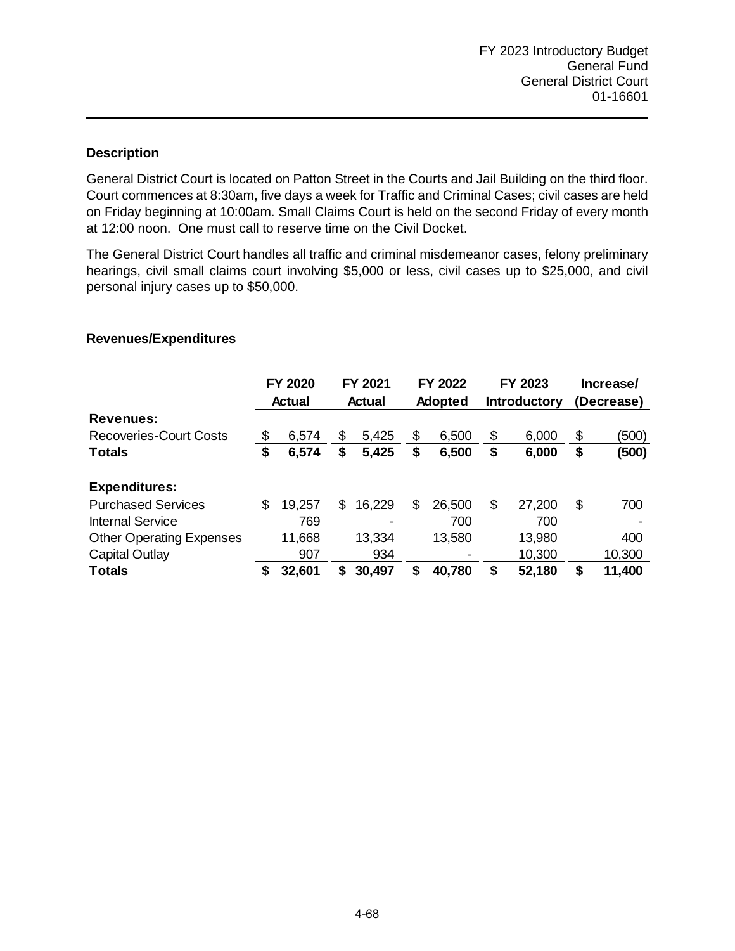General District Court is located on Patton Street in the Courts and Jail Building on the third floor. Court commences at 8:30am, five days a week for Traffic and Criminal Cases; civil cases are held on Friday beginning at 10:00am. Small Claims Court is held on the second Friday of every month at 12:00 noon. One must call to reserve time on the Civil Docket.

The General District Court handles all traffic and criminal misdemeanor cases, felony preliminary hearings, civil small claims court involving \$5,000 or less, civil cases up to \$25,000, and civil personal injury cases up to \$50,000.

|                                 | <b>FY 2020</b><br><b>Actual</b> |        | FY 2021<br>Actual |                          | FY 2022<br><b>Adopted</b> |        | FY 2023<br><b>Introductory</b> |        | Increase/<br>(Decrease) |        |
|---------------------------------|---------------------------------|--------|-------------------|--------------------------|---------------------------|--------|--------------------------------|--------|-------------------------|--------|
| <b>Revenues:</b>                |                                 |        |                   |                          |                           |        |                                |        |                         |        |
| <b>Recoveries-Court Costs</b>   | \$                              | 6,574  | \$                | 5,425                    | \$                        | 6,500  | \$                             | 6,000  | \$                      | (500)  |
| <b>Totals</b>                   | \$                              | 6,574  | \$                | 5,425                    | \$                        | 6,500  | \$                             | 6,000  | \$                      | (500)  |
| <b>Expenditures:</b>            |                                 |        |                   |                          |                           |        |                                |        |                         |        |
| <b>Purchased Services</b>       | \$                              | 19,257 | S                 | 16,229                   | \$                        | 26,500 | \$                             | 27,200 | S                       | 700    |
| <b>Internal Service</b>         |                                 | 769    |                   | $\overline{\phantom{0}}$ |                           | 700    |                                | 700    |                         |        |
| <b>Other Operating Expenses</b> |                                 | 11,668 |                   | 13,334                   |                           | 13,580 |                                | 13,980 |                         | 400    |
| <b>Capital Outlay</b>           |                                 | 907    |                   | 934                      |                           |        |                                | 10,300 |                         | 10,300 |
| <b>Totals</b>                   | S                               | 32,601 | \$                | 30,497                   | S                         | 40,780 | \$                             | 52,180 | S                       | 11,400 |

### **Revenues/Expenditures**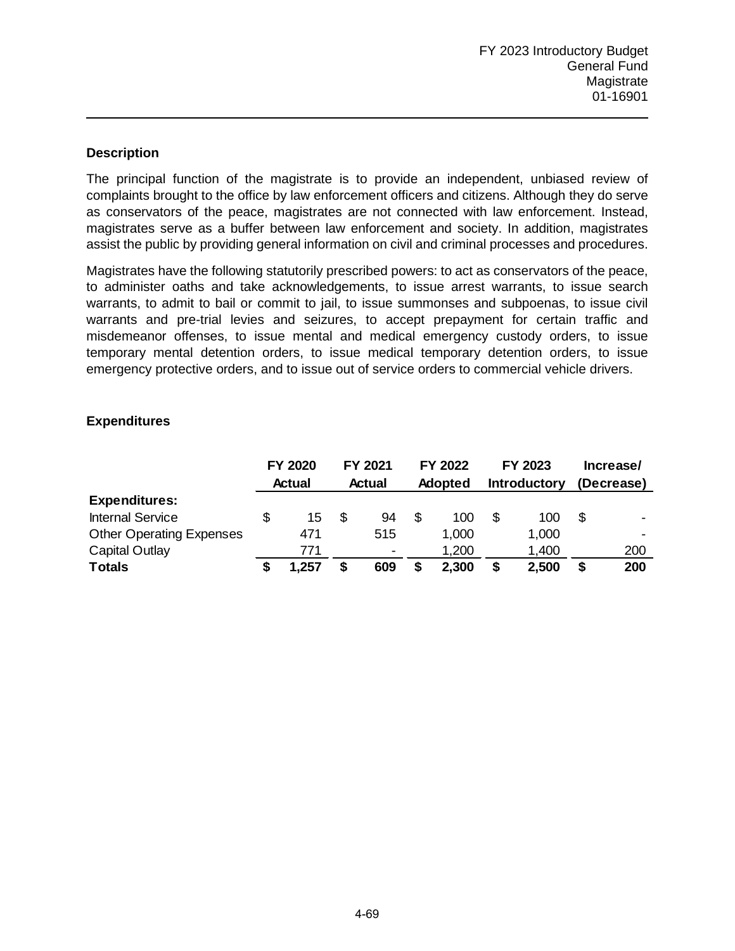The principal function of the magistrate is to provide an independent, unbiased review of complaints brought to the office by law enforcement officers and citizens. Although they do serve as conservators of the peace, magistrates are not connected with law enforcement. Instead, magistrates serve as a buffer between law enforcement and society. In addition, magistrates assist the public by providing general information on civil and criminal processes and procedures.

Magistrates have the following statutorily prescribed powers: to act as conservators of the peace, to administer oaths and take acknowledgements, to issue arrest warrants, to issue search warrants, to admit to bail or commit to jail, to issue summonses and subpoenas, to issue civil warrants and pre-trial levies and seizures, to accept prepayment for certain traffic and misdemeanor offenses, to issue mental and medical emergency custody orders, to issue temporary mental detention orders, to issue medical temporary detention orders, to issue emergency protective orders, and to issue out of service orders to commercial vehicle drivers.

## **Expenditures**

|                                 | FY 2020       |       | FY 2021       |                | FY 2022        |       | FY 2023             |       | Increase/  |                |
|---------------------------------|---------------|-------|---------------|----------------|----------------|-------|---------------------|-------|------------|----------------|
|                                 | <b>Actual</b> |       | <b>Actual</b> |                | <b>Adopted</b> |       | <b>Introductory</b> |       | (Decrease) |                |
| <b>Expenditures:</b>            |               |       |               |                |                |       |                     |       |            |                |
| <b>Internal Service</b>         |               | 15    | \$            | 94             | S              | 100   | \$                  | 100   |            | $\blacksquare$ |
| <b>Other Operating Expenses</b> |               | 471   |               | 515            |                | 1,000 |                     | 1,000 |            |                |
| Capital Outlay                  |               | 771   |               | $\blacksquare$ |                | 1,200 |                     | 1,400 |            | 200            |
| <b>Totals</b>                   |               | 1,257 | \$            | 609            |                | 2,300 | \$                  | 2,500 |            | 200            |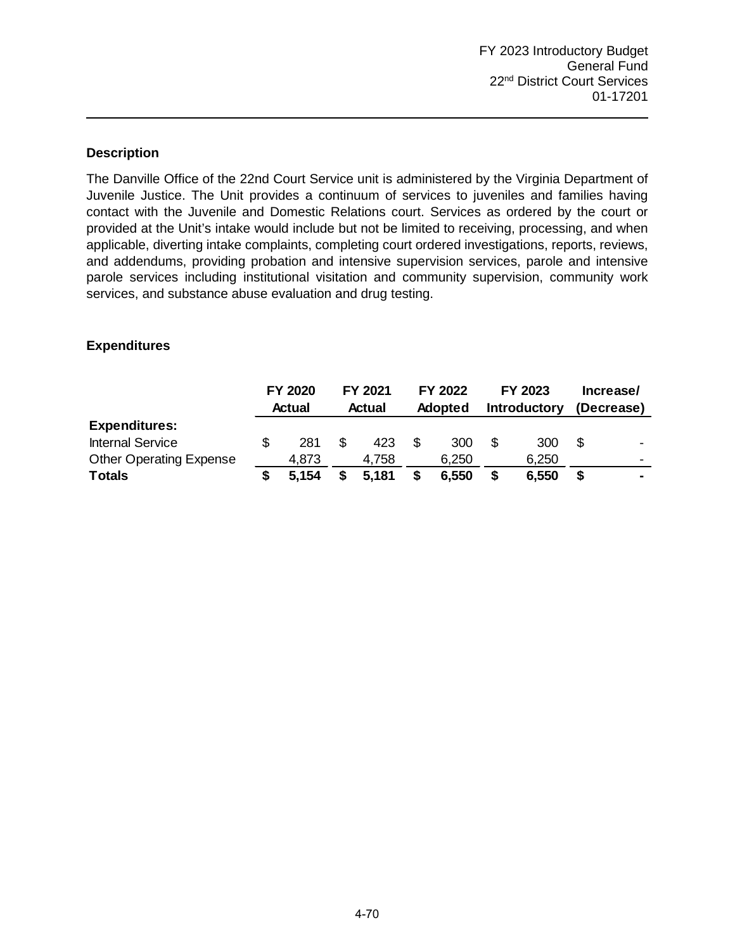The Danville Office of the 22nd Court Service unit is administered by the Virginia Department of Juvenile Justice. The Unit provides a continuum of services to juveniles and families having contact with the Juvenile and Domestic Relations court. Services as ordered by the court or provided at the Unit's intake would include but not be limited to receiving, processing, and when applicable, diverting intake complaints, completing court ordered investigations, reports, reviews, and addendums, providing probation and intensive supervision services, parole and intensive parole services including institutional visitation and community supervision, community work services, and substance abuse evaluation and drug testing.

### **Expenditures**

|                                | FY 2020 |        | FY 2021 |        | FY 2022 |                |    | FY 2023             | Increase/ |                          |  |
|--------------------------------|---------|--------|---------|--------|---------|----------------|----|---------------------|-----------|--------------------------|--|
|                                |         | Actual |         | Actual |         | <b>Adopted</b> |    | <b>Introductory</b> |           | (Decrease)               |  |
| <b>Expenditures:</b>           |         |        |         |        |         |                |    |                     |           |                          |  |
| <b>Internal Service</b>        |         | 281    | \$.     | 423    |         | 300            |    | 300                 |           | $\overline{\phantom{0}}$ |  |
| <b>Other Operating Expense</b> |         | 4,873  |         | 4.758  |         | 6,250          |    | 6,250               |           | $\overline{\phantom{0}}$ |  |
| <b>Totals</b>                  |         | 5.154  |         | 5.181  |         | 6,550          | \$ | 6,550               |           | $\blacksquare$           |  |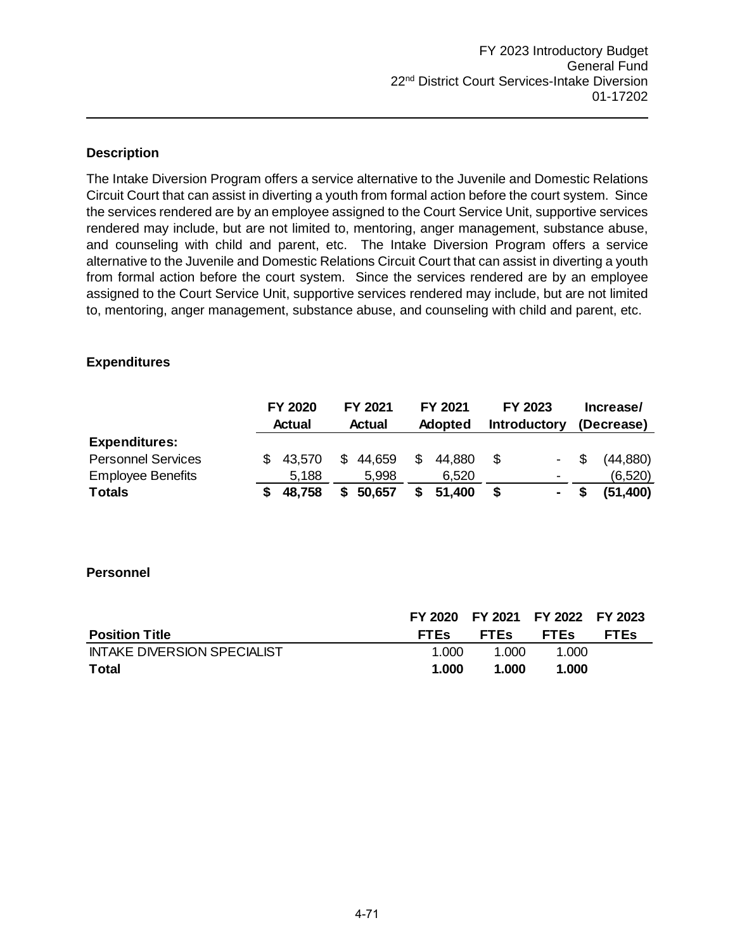The Intake Diversion Program offers a service alternative to the Juvenile and Domestic Relations Circuit Court that can assist in diverting a youth from formal action before the court system. Since the services rendered are by an employee assigned to the Court Service Unit, supportive services rendered may include, but are not limited to, mentoring, anger management, substance abuse, and counseling with child and parent, etc. The Intake Diversion Program offers a service alternative to the Juvenile and Domestic Relations Circuit Court that can assist in diverting a youth from formal action before the court system. Since the services rendered are by an employee assigned to the Court Service Unit, supportive services rendered may include, but are not limited to, mentoring, anger management, substance abuse, and counseling with child and parent, etc.

### **Expenditures**

|                           | <b>FY 2020</b> |               | FY 2021 |                | FY 2021 |                     | FY 2023                  | Increase/<br>(Decrease) |          |  |
|---------------------------|----------------|---------------|---------|----------------|---------|---------------------|--------------------------|-------------------------|----------|--|
|                           | <b>Actual</b>  | <b>Actual</b> |         | <b>Adopted</b> |         | <b>Introductory</b> |                          |                         |          |  |
| <b>Expenditures:</b>      |                |               |         |                |         |                     |                          |                         |          |  |
| <b>Personnel Services</b> | 43.570         | \$            | 44,659  | S              | 44.880  | \$.                 |                          | S                       | (44,880) |  |
| <b>Employee Benefits</b>  | 5,188          |               | 5,998   |                | 6,520   |                     | $\overline{\phantom{a}}$ |                         | (6,520)  |  |
| <b>Totals</b>             | 48,758         |               | 50,657  |                | 51,400  | S                   | ۰                        |                         | (51,400) |  |

#### **Personnel**

|                             |       | FY 2020 FY 2021 FY 2022 FY 2023 |             |             |
|-----------------------------|-------|---------------------------------|-------------|-------------|
| <b>Position Title</b>       | FTEs  | FTEs                            | <b>FTES</b> | <b>FTES</b> |
| INTAKE DIVERSION SPECIALIST | 1.000 | 1.000                           | 1.000       |             |
| Total                       | 1.000 | 1.000                           | 1.000       |             |